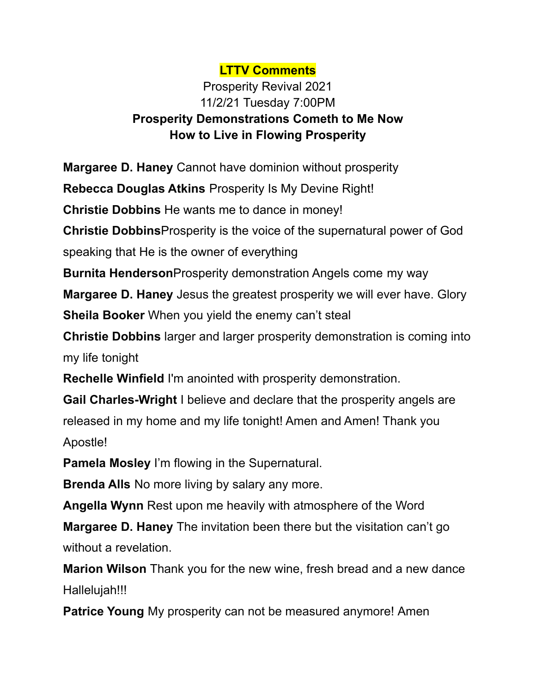## **LTTV Comments**

## Prosperity Revival 2021 11/2/21 Tuesday 7:00PM **Prosperity Demonstrations Cometh to Me Now How to Live in Flowing Prosperity**

**Margaree D. Haney** Cannot have dominion without prosperity

**Rebecca Douglas Atkins** Prosperity Is My Devine Right!

**Christie Dobbins** He wants me to dance in money!

**Christie Dobbins**Prosperity is the voice of the supernatural power of God speaking that He is the owner of everything

**Burnita Henderson**Prosperity demonstration Angels come my way

**Margaree D. Haney** Jesus the greatest prosperity we will ever have. Glory **Sheila Booker** When you yield the enemy can't steal

**Christie Dobbins** larger and larger prosperity demonstration is coming into my life tonight

**Rechelle Winfield** I'm anointed with prosperity demonstration.

**Gail Charles-Wright** I believe and declare that the prosperity angels are released in my home and my life tonight! Amen and Amen! Thank you Apostle!

**Pamela Mosley** I'm flowing in the Supernatural.

**Brenda Alls** No more living by salary any more.

**Angella Wynn** Rest upon me heavily with atmosphere of the Word

**Margaree D. Haney** The invitation been there but the visitation can't go without a revelation.

**Marion Wilson** Thank you for the new wine, fresh bread and a new dance Hallelujah!!!

**Patrice Young** My prosperity can not be measured anymore! Amen